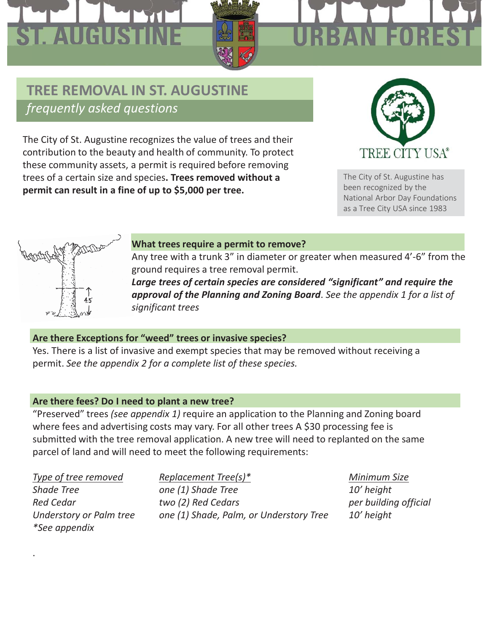# ST. AUGUS

# AN FO

#### **TREE REMOVAL IN ST. AUGUSTINE** *frequently asked questions*

The City of St. Augustine recognizes the value of trees and their contribution to the beauty and health of community. To protect these community assets, a permit is required before removing trees of a certain size and species**. Trees removed without a permit can result in a fine of up to \$5,000 per tree.**



The City of St. Augustine has been recognized by the National Arbor Day Foundations as a Tree City USA since 1983



#### **What trees require a permit to remove?**

Any tree with a trunk 3" in diameter or greater when measured 4'-6" from the ground requires a tree removal permit.

*Large trees of certain species are considered "significant" and require the approval of the Planning and Zoning Board*. *See the appendix 1 for a list of significant trees*

#### **Are there Exceptions for "weed" trees or invasive species?**

Yes. There is a list of invasive and exempt species that may be removed without receiving a permit. *See the appendix 2 for a complete list of these species.*

#### **Are there fees? Do I need to plant a new tree?**

"Preserved" trees *(see appendix 1)* require an application to the Planning and Zoning board where fees and advertising costs may vary. For all other trees A \$30 processing fee is submitted with the tree removal application. A new tree will need to replanted on the same parcel of land and will need to meet the following requirements:

*\*See appendix*

.

*Type of tree removed Replacement Tree(s)\* Minimum Size Shade Tree one (1) Shade Tree 10' height Red Cedar two (2) Red Cedars per building official Understory or Palm tree one (1) Shade, Palm, or Understory Tree 10' height*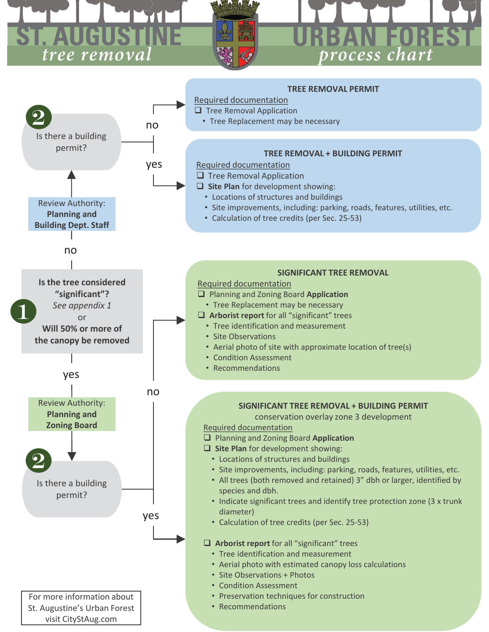### r. Augu tree removal

# process chart

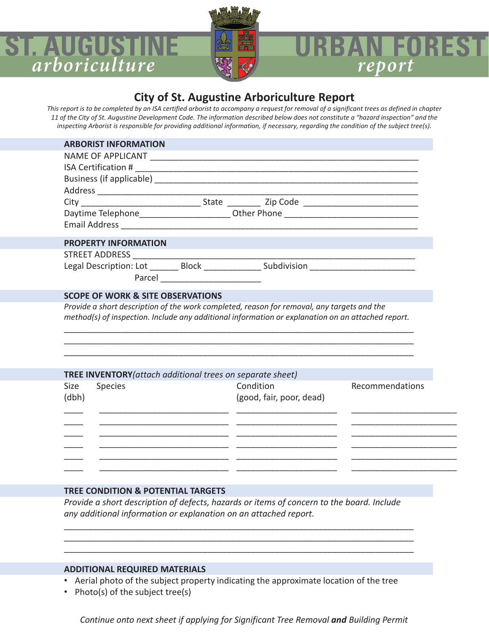

#### **AN FORES** report

#### **City of St. Augustine Arboriculture Report**

*This report is to be completed by an ISA certified arborist to accompany a request for removal of a significant trees as defined in chapter 11 of the City of St. Augustine Development Code. The information described below does not constitute a "hazard inspection" and the inspecting Arborist is responsible for providing additional information, if necessary, regarding the condition of the subject tree(s).*

| <b>ARBORIST INFORMATION</b>                                                                          |                                       |                 |  |
|------------------------------------------------------------------------------------------------------|---------------------------------------|-----------------|--|
|                                                                                                      |                                       |                 |  |
|                                                                                                      |                                       |                 |  |
|                                                                                                      |                                       |                 |  |
|                                                                                                      |                                       |                 |  |
| City ___________________________________State ______________ Zip Code ______________________________ |                                       |                 |  |
| Daytime Telephone_________________________Other Phone __________________________                     |                                       |                 |  |
|                                                                                                      |                                       |                 |  |
| <b>PROPERTY INFORMATION</b>                                                                          |                                       |                 |  |
| STREET ADDRESS _____________                                                                         |                                       |                 |  |
| Legal Description: Lot ________ Block _______________ Subdivision _______________                    |                                       |                 |  |
|                                                                                                      |                                       |                 |  |
|                                                                                                      |                                       |                 |  |
| <b>SCOPE OF WORK &amp; SITE OBSERVATIONS</b>                                                         |                                       |                 |  |
| Provide a short description of the work completed, reason for removal, any targets and the           |                                       |                 |  |
| method(s) of inspection. Include any additional information or explanation on an attached report.    |                                       |                 |  |
|                                                                                                      |                                       |                 |  |
|                                                                                                      |                                       |                 |  |
|                                                                                                      |                                       |                 |  |
|                                                                                                      |                                       |                 |  |
|                                                                                                      |                                       |                 |  |
|                                                                                                      |                                       |                 |  |
|                                                                                                      |                                       |                 |  |
|                                                                                                      |                                       |                 |  |
|                                                                                                      |                                       |                 |  |
|                                                                                                      |                                       |                 |  |
|                                                                                                      |                                       |                 |  |
|                                                                                                      |                                       |                 |  |
|                                                                                                      |                                       |                 |  |
| TREE INVENTORY (attach additional trees on separate sheet)<br><b>Species</b><br><b>Size</b><br>(dbh) | Condition<br>(good, fair, poor, dead) | Recommendations |  |

#### **TREE CONDITION & POTENTIAL TARGETS**

*Provide a short description of defects, hazards or items of concern to the board. Include any additional information or explanation on an attached report.* 

\_\_\_\_\_\_\_\_\_\_\_\_\_\_\_\_\_\_\_\_\_\_\_\_\_\_\_\_\_\_\_\_\_\_\_\_\_\_\_\_\_\_\_\_\_\_\_\_\_\_\_\_\_\_\_\_\_\_\_\_\_\_\_\_\_\_\_\_\_\_\_\_\_ \_\_\_\_\_\_\_\_\_\_\_\_\_\_\_\_\_\_\_\_\_\_\_\_\_\_\_\_\_\_\_\_\_\_\_\_\_\_\_\_\_\_\_\_\_\_\_\_\_\_\_\_\_\_\_\_\_\_\_\_\_\_\_\_\_\_\_\_\_\_\_\_\_ \_\_\_\_\_\_\_\_\_\_\_\_\_\_\_\_\_\_\_\_\_\_\_\_\_\_\_\_\_\_\_\_\_\_\_\_\_\_\_\_\_\_\_\_\_\_\_\_\_\_\_\_\_\_\_\_\_\_\_\_\_\_\_\_\_\_\_\_\_\_\_\_\_

#### **ADDITIONAL REQUIRED MATERIALS**

- Aerial photo of the subject property indicating the approximate location of the tree
- Photo(s) of the subject tree(s)

*Continue onto next sheet if applying for Significant Tree Removal and Building Permit*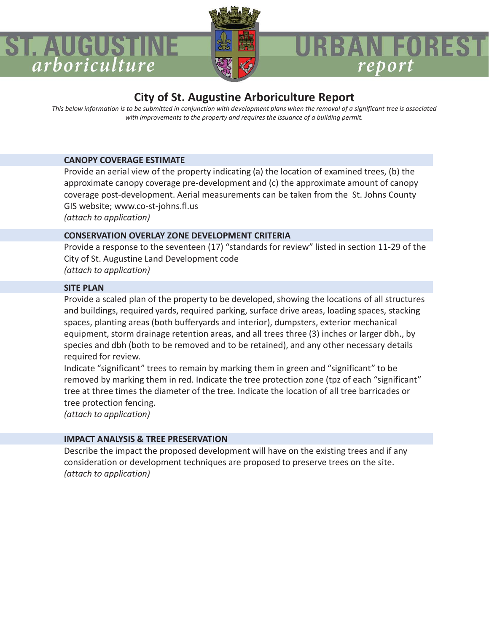

## report

#### **City of St. Augustine Arboriculture Report**

*This below information is to be submitted in conjunction with development plans when the removal of a significant tree is associated with improvements to the property and requires the issuance of a building permit.*

#### **CANOPY COVERAGE ESTIMATE**

Provide an aerial view of the property indicating (a) the location of examined trees, (b) the approximate canopy coverage pre-development and (c) the approximate amount of canopy coverage post-development. Aerial measurements can be taken from the St. Johns County GIS website; www.co-st-johns.fl.us *(attach to application)*

#### **CONSERVATION OVERLAY ZONE DEVELOPMENT CRITERIA**

Provide a response to the seventeen (17) "standards for review" listed in section 11-29 of the City of St. Augustine Land Development code *(attach to application)*

#### **SITE PLAN**

ST. AUGUST

arboriculture

Provide a scaled plan of the property to be developed, showing the locations of all structures and buildings, required yards, required parking, surface drive areas, loading spaces, stacking spaces, planting areas (both bufferyards and interior), dumpsters, exterior mechanical equipment, storm drainage retention areas, and all trees three (3) inches or larger dbh., by species and dbh (both to be removed and to be retained), and any other necessary details required for review.

Indicate "significant" trees to remain by marking them in green and "significant" to be removed by marking them in red. Indicate the tree protection zone (tpz of each "significant" tree at three times the diameter of the tree*.* Indicate the location of all tree barricades or tree protection fencing.

*(attach to application)*

#### **IMPACT ANALYSIS & TREE PRESERVATION**

Describe the impact the proposed development will have on the existing trees and if any consideration or development techniques are proposed to preserve trees on the site. *(attach to application)*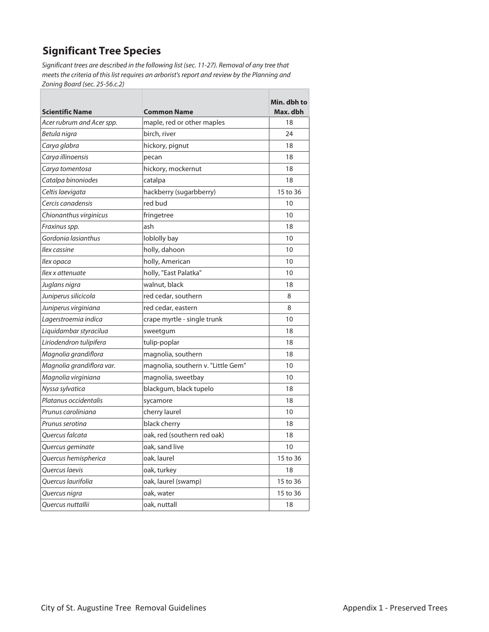#### **Significant Tree Species**

Significant trees are described in the following list (sec. 11-27). Removal of any tree that meets the criteria of this list requires an arborist's report and review by the Planning and Zoning Board (sec. 25-56.c.2)

h

| <b>Scientific Name</b>    | <b>Common Name</b>                 | Min. dbh to<br>Max. dbh |
|---------------------------|------------------------------------|-------------------------|
| Acer rubrum and Acer spp. | maple, red or other maples         | 18                      |
| Betula nigra              | birch, river                       | 24                      |
| Carya glabra              | hickory, pignut                    | 18                      |
| Carya illinoensis         | pecan                              | 18                      |
| Carya tomentosa           | hickory, mockernut                 | 18                      |
| Catalpa binoniodes        | catalpa                            | 18                      |
| Celtis laevigata          | hackberry (sugarbberry)            | 15 to 36                |
| Cercis canadensis         | red bud                            | 10                      |
| Chionanthus virginicus    | fringetree                         | 10                      |
| Fraxinus spp.             | ash                                | 18                      |
| Gordonia lasianthus       | loblolly bay                       | 10                      |
| llex cassine              | holly, dahoon                      | 10                      |
| llex opaca                | holly, American                    | 10                      |
| llex x attenuate          | holly, "East Palatka"              | 10                      |
| Juglans nigra             | walnut, black                      | 18                      |
| Juniperus silicicola      | red cedar, southern                | 8                       |
| Juniperus virginiana      | red cedar, eastern                 | 8                       |
| Lagerstroemia indica      | crape myrtle - single trunk        | 10                      |
| Liquidambar styracilua    | sweetgum                           | 18                      |
| Liriodendron tulipifera   | tulip-poplar                       | 18                      |
| Magnolia grandiflora      | magnolia, southern                 | 18                      |
| Magnolia grandiflora var. | magnolia, southern v. "Little Gem" | 10                      |
| Magnolia virginiana       | magnolia, sweetbay                 | 10                      |
| Nyssa sylvatica           | blackgum, black tupelo             | 18                      |
| Platanus occidentalis     | sycamore                           | 18                      |
| Prunus caroliniana        | cherry laurel                      | 10                      |
| Prunus serotina           | black cherry                       | 18                      |
| Ouercus falcata           | oak, red (southern red oak)        | 18                      |
| Quercus geminate          | oak, sand live                     | 10                      |
| Quercus hemispherica      | oak, laurel                        | 15 to 36                |
| Quercus laevis            | oak, turkey                        | 18                      |
| Ouercus laurifolia        | oak, laurel (swamp)                | 15 to 36                |
| Quercus nigra             | oak, water                         | 15 to 36                |
| Quercus nuttallii         | oak, nuttall                       | 18                      |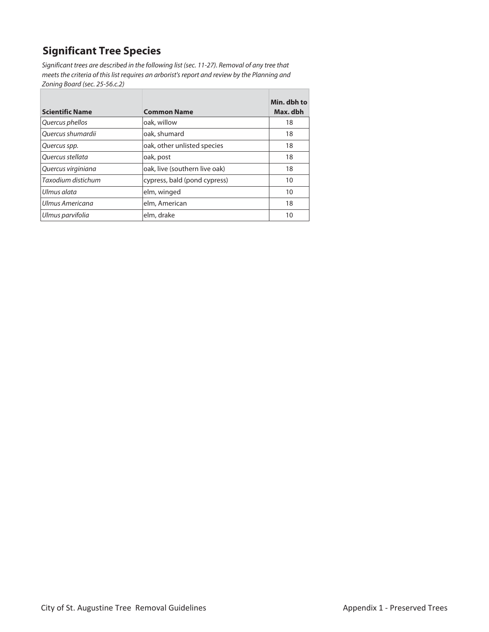#### **Significant Tree Species**

Significant trees are described in the following list (sec. 11-27). Removal of any tree that meets the criteria of this list requires an arborist's report and review by the Planning and Zoning Board (sec. 25-56.c.2)

h

| <b>Scientific Name</b> | <b>Common Name</b>            | Min. dbh to<br>Max. dbh |
|------------------------|-------------------------------|-------------------------|
|                        |                               |                         |
| Quercus phellos        | oak, willow                   | 18                      |
| Ouercus shumardii      | oak, shumard                  | 18                      |
| Quercus spp.           | oak, other unlisted species   | 18                      |
| Ouercus stellata       | oak, post                     | 18                      |
| Quercus virginiana     | oak, live (southern live oak) | 18                      |
| Taxodium distichum     | cypress, bald (pond cypress)  | 10                      |
| Ulmus alata            | elm, winged                   | 10                      |
| Ulmus Americana        | elm, American                 | 18                      |
| Ulmus parvifolia       | elm, drake                    | 10                      |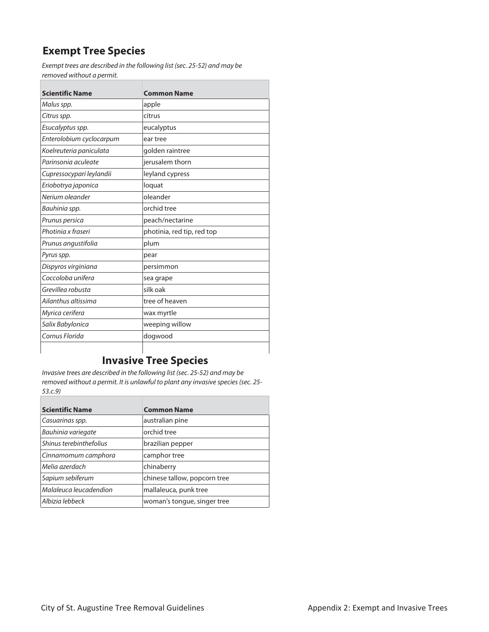#### **Exempt Tree Species**

Exempt trees are described in the following list (sec. 25-52) and may be removed without a permit.

| <b>Scientific Name</b>   | <b>Common Name</b>         |
|--------------------------|----------------------------|
| Malus spp.               | apple                      |
| Citrus spp.              | citrus                     |
| Esucalyptus spp.         | eucalyptus                 |
| Enterolobium cyclocarpum | ear tree                   |
| Koelreuteria paniculata  | golden raintree            |
| Parinsonia aculeate      | jerusalem thorn            |
| Cupressocypari leylandii | leyland cypress            |
| Eriobotrya japonica      | loquat                     |
| Nerium oleander          | oleander                   |
| Bauhinia spp.            | orchid tree                |
| Prunus persica           | peach/nectarine            |
| Photinia x fraseri       | photinia, red tip, red top |
| Prunus angustifolia      | plum                       |
| Pyrus spp.               | pear                       |
| Dispyros virginiana      | persimmon                  |
| Coccoloba unifera        | sea grape                  |
| Grevillea robusta        | silk oak                   |
| Ailanthus altissima      | tree of heaven             |
| Myrica cerifera          | wax myrtle                 |
| Salix Babylonica         | weeping willow             |
| Cornus Florida           | dogwood                    |

#### **Invasive Tree Species**

Invasive trees are described in the following list (sec. 25-52) and may be removed without a permit. It is unlawful to plant any invasive species (sec. 25- 53.c.9)

| <b>Scientific Name</b>  | <b>Common Name</b>           |
|-------------------------|------------------------------|
| Casuarinas spp.         | australian pine              |
| Bauhinia variegate      | orchid tree                  |
| Shinus terebinthefolius | brazilian pepper             |
| Cinnamomum camphora     | camphor tree                 |
| Melia azerdach          | chinaberry                   |
| Sapium sebiferum        | chinese tallow, popcorn tree |
| Malaleuca leucadendion  | mallaleuca, punk tree        |
| Albizia lebbeck         | woman's tongue, singer tree  |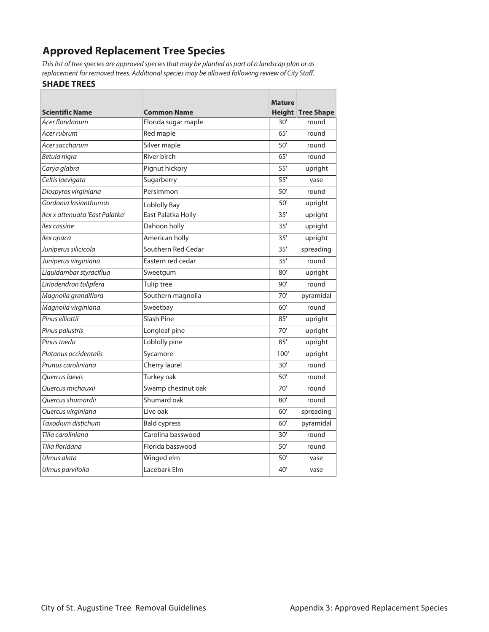#### **Approved Replacement Tree Species**

This list of tree species are approved species that may be planted as part of a landscap plan or as replacement for removed trees. Additional species may be allowed following review of City Staff.

#### **SHADE TREES**

|                                 |                     | <b>Mature</b> |                          |
|---------------------------------|---------------------|---------------|--------------------------|
| <b>Scientific Name</b>          | <b>Common Name</b>  |               | <b>Height Tree Shape</b> |
| Acer floridanum                 | Florida sugar maple | 30'           | round                    |
| Acer rubrum                     | Red maple           | 65'           | round                    |
| Acer saccharum                  | Silver maple        | 50'           | round                    |
| Betula nigra                    | River birch         | 65'           | round                    |
| Carya glabra                    | Pignut hickory      | 55'           | upright                  |
| Celtis laevigata                | Sugarberry          | 55'           | vase                     |
| Diospyros virginiana            | Persimmon           | 50'           | round                    |
| Gordonia lasianthumus           | Loblolly Bay        | 50'           | upright                  |
| Ilex x attenuata 'East Palatka' | East Palatka Holly  | 35'           | upright                  |
| llex cassine                    | Dahoon holly        | 35'           | upright                  |
| Ilex opaca                      | American holly      | 35'           | upright                  |
| Juniperus silicicola            | Southern Red Cedar  | 35'           | spreading                |
| Juniperus virginiana            | Eastern red cedar   | 35'           | round                    |
| Liquidambar styraciflua         | Sweetgum            | 80'           | upright                  |
| Liriodendron tulipfera          | Tulip tree          | 90'           | round                    |
| Magnolia grandiflora            | Southern magnolia   | 70'           | pyramidal                |
| Magnolia virginiana             | Sweetbay            | 60'           | round                    |
| Pinus elliottii                 | Slash Pine          | 85'           | upright                  |
| Pinus palustris                 | Longleaf pine       | 70'           | upright                  |
| Pinus taeda                     | Loblolly pine       | 85'           | upright                  |
| Platanus occidentalis           | Sycamore            | 100'          | upright                  |
| Prunus caroliniana              | Cherry laurel       | 30'           | round                    |
| Ouercus Iaevis                  | Turkey oak          | 50'           | round                    |
| Ouercus michauxii               | Swamp chestnut oak  | 70'           | round                    |
| Quercus shumardii               | Shumard oak         | 80'           | round                    |
| Quercus virginiana              | Live oak            | 60'           | spreading                |
| Taxodium distichum              | <b>Bald cypress</b> | 60'           | pyramidal                |
| Tilia caroliniana               | Carolina basswood   | 30'           | round                    |
| Tilia floridana                 | Florida basswood    | 50'           | round                    |
| Ulmus alata                     | Winged elm          | 50'           | vase                     |
| Ulmus parvifolia                | Lacebark Elm        | 40'           | vase                     |